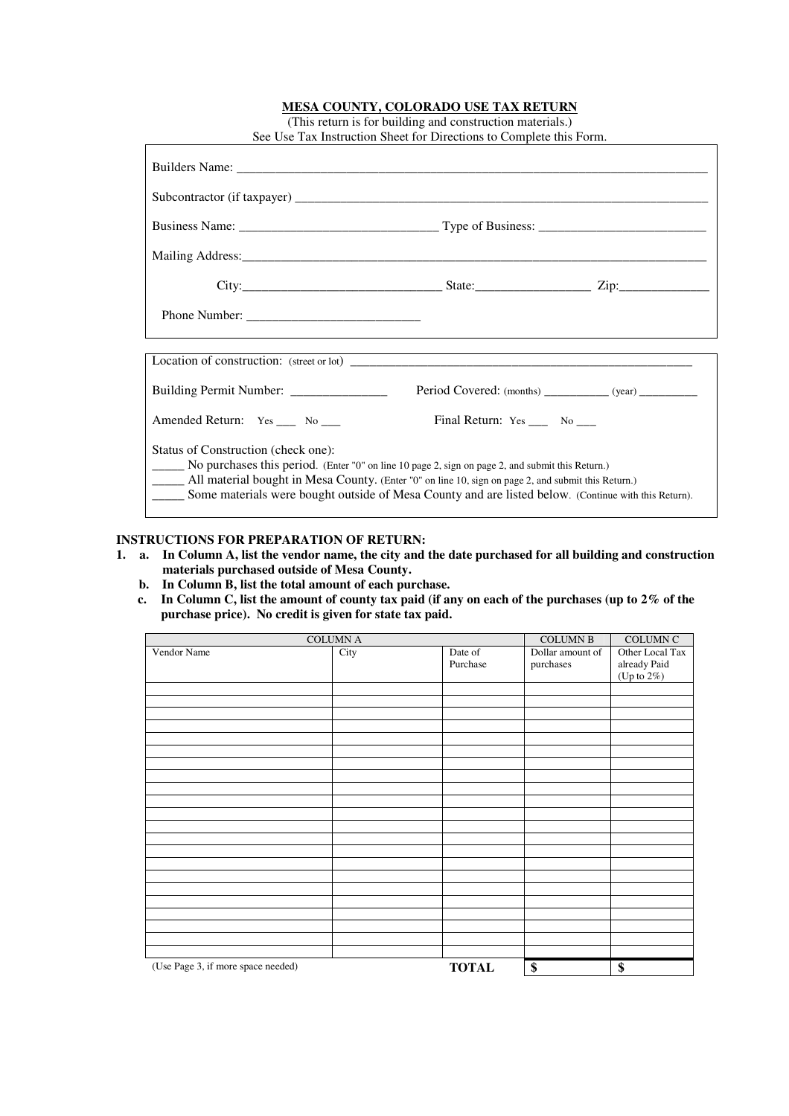| See Use Tax Instruction Sheet for Directions to Complete this Form.                                                                                                                                                                                                                                                                                            |                                                          |  |  |  |
|----------------------------------------------------------------------------------------------------------------------------------------------------------------------------------------------------------------------------------------------------------------------------------------------------------------------------------------------------------------|----------------------------------------------------------|--|--|--|
|                                                                                                                                                                                                                                                                                                                                                                |                                                          |  |  |  |
|                                                                                                                                                                                                                                                                                                                                                                |                                                          |  |  |  |
|                                                                                                                                                                                                                                                                                                                                                                |                                                          |  |  |  |
|                                                                                                                                                                                                                                                                                                                                                                |                                                          |  |  |  |
|                                                                                                                                                                                                                                                                                                                                                                |                                                          |  |  |  |
|                                                                                                                                                                                                                                                                                                                                                                |                                                          |  |  |  |
|                                                                                                                                                                                                                                                                                                                                                                |                                                          |  |  |  |
| Building Permit Number: ______________                                                                                                                                                                                                                                                                                                                         | Period Covered: (months) ____________ (year) ___________ |  |  |  |
| Amended Return: Yes _____ No ____                                                                                                                                                                                                                                                                                                                              | Final Return: $Yes \_\_\_$ No $\_\_\_$                   |  |  |  |
| Status of Construction (check one):<br>No purchases this period. (Enter "0" on line 10 page 2, sign on page 2, and submit this Return.)<br>All material bought in Mesa County. (Enter "0" on line 10, sign on page 2, and submit this Return.)<br>_______ Some materials were bought outside of Mesa County and are listed below. (Continue with this Return). |                                                          |  |  |  |

### **MESA COUNTY, COLORADO USE TAX RETURN** (This return is for building and construction materials.)

## **INSTRUCTIONS FOR PREPARATION OF RETURN:**

|  | 1. a. In Column A, list the vendor name, the city and the date purchased for all building and construction |
|--|------------------------------------------------------------------------------------------------------------|
|  | materials purchased outside of Mesa County.                                                                |

- **b. In Column B, list the total amount of each purchase.**
- **c. In Column C, list the amount of county tax paid (if any on each of the purchases (up to 2% of the purchase price). No credit is given for state tax paid.**

| <b>COLUMN A</b>                    |      |                     | <b>COLUMN B</b>               | <b>COLUMN C</b>                                   |
|------------------------------------|------|---------------------|-------------------------------|---------------------------------------------------|
| Vendor Name                        | City | Date of<br>Purchase | Dollar amount of<br>purchases | Other Local Tax<br>already Paid<br>(Up to $2\%$ ) |
|                                    |      |                     |                               |                                                   |
|                                    |      |                     |                               |                                                   |
|                                    |      |                     |                               |                                                   |
|                                    |      |                     |                               |                                                   |
|                                    |      |                     |                               |                                                   |
|                                    |      |                     |                               |                                                   |
|                                    |      |                     |                               |                                                   |
|                                    |      |                     |                               |                                                   |
|                                    |      |                     |                               |                                                   |
|                                    |      |                     |                               |                                                   |
|                                    |      |                     |                               |                                                   |
|                                    |      |                     |                               |                                                   |
|                                    |      |                     |                               |                                                   |
|                                    |      |                     |                               |                                                   |
| (Use Page 3, if more space needed) |      | <b>TOTAL</b>        | \$                            | \$                                                |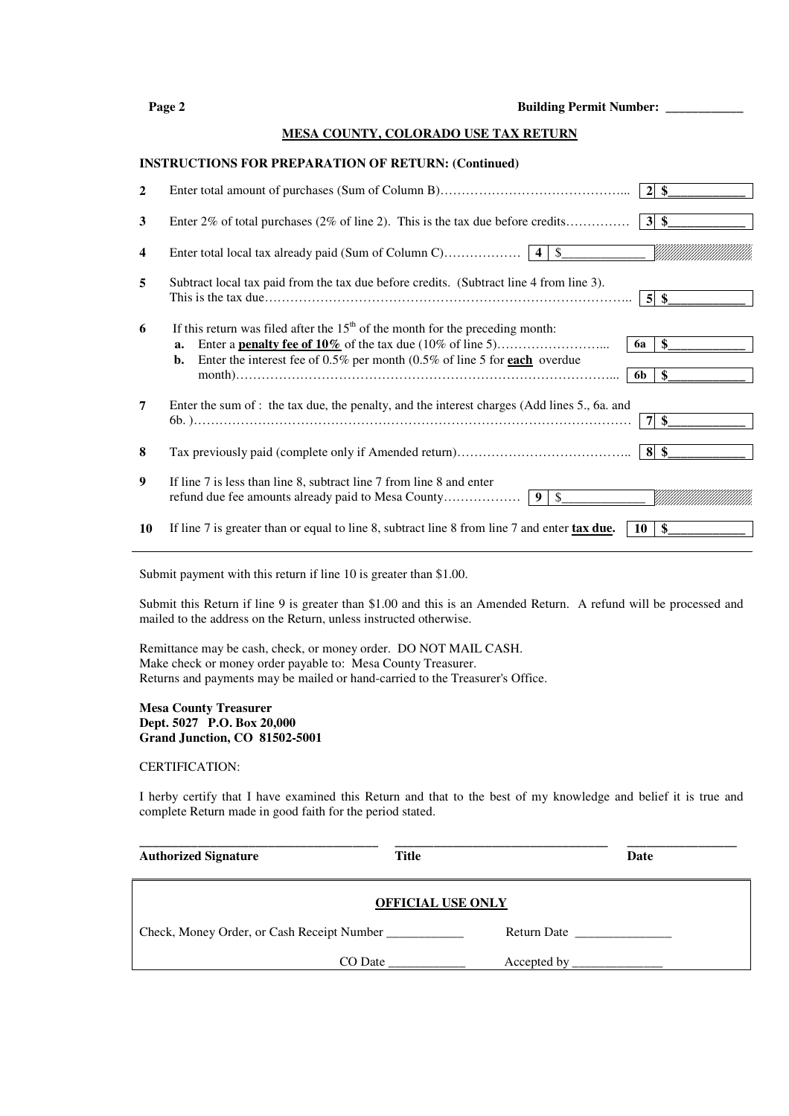| Page 2 | <b>Building Permit Number:</b> |
|--------|--------------------------------|
|        |                                |

#### **MESA COUNTY, COLORADO USE TAX RETURN**

#### **INSTRUCTIONS FOR PREPARATION OF RETURN: (Continued)**

| 2  |                                                                                                                                                                             |                 | $2 \text{ }$                              |
|----|-----------------------------------------------------------------------------------------------------------------------------------------------------------------------------|-----------------|-------------------------------------------|
| 3  | Enter 2% of total purchases (2% of line 2). This is the tax due before credits                                                                                              |                 | $3\overline{\smash{\circ}}\hspace{0.1cm}$ |
| 4  |                                                                                                                                                                             |                 |                                           |
| 5  | Subtract local tax paid from the tax due before credits. (Subtract line 4 from line 3).                                                                                     |                 | $5\%$                                     |
| 6  | If this return was filed after the $15th$ of the month for the preceding month:<br>a.<br>Enter the interest fee of $0.5\%$ per month (0.5% of line 5 for each overdue<br>b. | <b>6a</b><br>6b | \$<br>\$                                  |
| 7  | Enter the sum of : the tax due, the penalty, and the interest charges (Add lines 5., 6a. and                                                                                |                 | $7 \text{ s}$                             |
| 8  |                                                                                                                                                                             |                 |                                           |
| 9  | If line 7 is less than line 8, subtract line 7 from line 8 and enter                                                                                                        |                 |                                           |
| 10 | If line 7 is greater than or equal to line 8, subtract line 8 from line 7 and enter tax due.                                                                                | $10-1$          | - \$                                      |

Submit payment with this return if line 10 is greater than \$1.00.

Submit this Return if line 9 is greater than \$1.00 and this is an Amended Return. A refund will be processed and mailed to the address on the Return, unless instructed otherwise.

Remittance may be cash, check, or money order. DO NOT MAIL CASH. Make check or money order payable to: Mesa County Treasurer. Returns and payments may be mailed or hand-carried to the Treasurer's Office.

#### **Mesa County Treasurer Dept. 5027 P.O. Box 20,000 Grand Junction, CO 81502-5001**

#### CERTIFICATION:

I herby certify that I have examined this Return and that to the best of my knowledge and belief it is true and complete Return made in good faith for the period stated.

| <b>Authorized Signature</b>                | <b>Title</b> | Date        |  |  |
|--------------------------------------------|--------------|-------------|--|--|
| <b>OFFICIAL USE ONLY</b>                   |              |             |  |  |
| Check, Money Order, or Cash Receipt Number |              | Return Date |  |  |
| CO Date                                    |              | Accepted by |  |  |